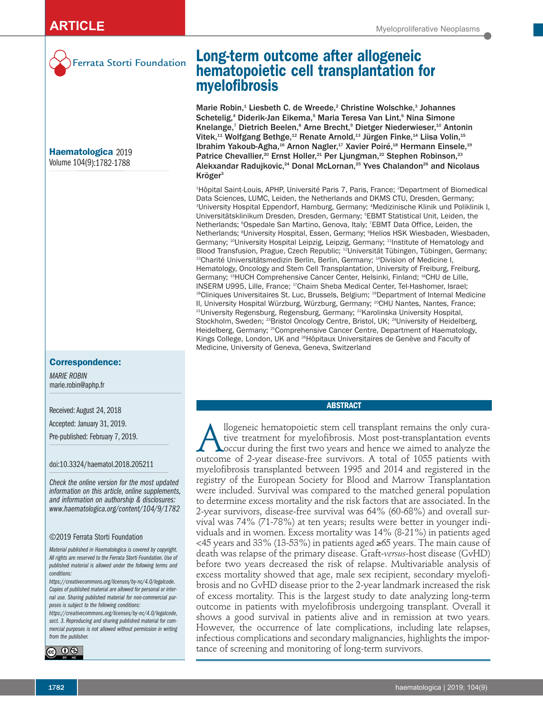

Ferrata Storti Foundation

**Haematologica** 2019 Volume 104(9):1782-1788

# **Correspondence:**

*MARIE ROBIN* marie.robin@aphp.fr

Received: August 24, 2018

Accepted: January 31, 2019.

Pre-published: February 7, 2019.

doi:10.3324/haematol.2018.205211

*Check the online version for the most updated information on this article, online supplements, and information on authorship & disclosures: www.haematologica.org/content/104/9/1782*

#### ©2019 Ferrata Storti Foundation

*Material published in Haematologica is covered by copyright. All rights are reserved to the Ferrata Storti Foundation. Use of published material is allowed under the following terms and conditions:* 

*https://creativecommons.org/licenses/by-nc/4.0/legalcode. Copies of published material are allowed for personal or internal use. Sharing published material for non-commercial purposes is subject to the following conditions:* 

*https://creativecommons.org/licenses/by-nc/4.0/legalcode, sect. 3. Reproducing and sharing published material for commercial purposes is not allowed without permission in writing from the publisher.*



# **Long-term outcome after allogeneic hematopoietic cell transplantation for myelofibrosis**

Marie Robin,<sup>1</sup> Liesbeth C. de Wreede,<sup>2</sup> Christine Wolschke,<sup>3</sup> Johannes Schetelig,<sup>4</sup> Diderik-Jan Eikema,<sup>5</sup> Maria Teresa Van Lint,<sup>6</sup> Nina Simone Knelange,<sup>7</sup> Dietrich Beelen,<sup>8</sup> Arne Brecht,<sup>9</sup> Dietger Niederwieser,<sup>10</sup> Antonin Vitek,<sup>11</sup> Wolfgang Bethge,<sup>12</sup> Renate Arnold,<sup>13</sup> Jürgen Finke,<sup>14</sup> Liisa Volin,<sup>15</sup> Ibrahim Yakoub-Agha,<sup>16</sup> Arnon Nagler,<sup>17</sup> Xavier Poiré,<sup>18</sup> Hermann Einsele,<sup>19</sup> Patrice Chevallier,<sup>20</sup> Ernst Holler,<sup>21</sup> Per Ljungman,<sup>22</sup> Stephen Robinson,<sup>23</sup> Alekxandar Radujkovic,<sup>24</sup> Donal McLornan,<sup>25</sup> Yves Chalandon<sup>26</sup> and Nicolaus Kröger3

1 Hôpital Saint-Louis, APHP, Université Paris 7, Paris, France; 2 Department of Biomedical Data Sciences, LUMC, Leiden, the Netherlands and DKMS CTU, Dresden, Germany; 3 University Hospital Eppendorf, Hamburg, Germany; 4 Medizinische Klinik und Poliklinik I, Universitätsklinikum Dresden, Dresden, Germany; 5 EBMT Statistical Unit, Leiden, the Netherlands; <sup>e</sup>Ospedale San Martino, Genova, Italy; <sup>7</sup>EBMT Data Office, Leiden, the Netherlands; <sup>s</sup>University Hospital, Essen, Germany; <sup>9</sup>Helios HSK Wiesbaden, Wiesbaden, Germany; <sup>10</sup>University Hospital Leipzig, Leipzig, Germany; <sup>11</sup>Institute of Hematology and Blood Transfusion, Prague, Czech Republic; 12Universität Tübingen, Tübingen, Germany; <sup>13</sup>Charité Universitätsmedizin Berlin, Berlin, Germany; <sup>14</sup>Division of Medicine I, Hematology, Oncology and Stem Cell Transplantation, University of Freiburg, Freiburg, Germany; <sup>15</sup>HUCH Comprehensive Cancer Center, Helsinki, Finland; <sup>16</sup>CHU de Lille, INSERM U995, Lille, France; <sup>17</sup>Chaim Sheba Medical Center, Tel-Hashomer, Israel; <sup>18</sup>Cliniques Universitaires St. Luc, Brussels, Belgium; <sup>19</sup>Department of Internal Medicine II, University Hospital Würzburg, Würzburg, Germany; <sup>20</sup>CHU Nantes, Nantes, France; 21University Regensburg, Regensburg, Germany; 22Karolinska University Hospital, Stockholm, Sweden; <sup>23</sup>Bristol Oncology Centre, Bristol, UK; <sup>24</sup>University of Heidelberg, Heidelberg, Germany; <sup>25</sup>Comprehensive Cancer Centre, Department of Haematology, Kings College, London, UK and 26Hôpitaux Universitaires de Genève and Faculty of Medicine, University of Geneva, Geneva, Switzerland

## **ABSTRACT**

Mogeneic hematopoietic stem cell transplant remains the only cura-<br>tive treatment for myelofibrosis. Most post-transplantation events<br>outcome of 2-vear disease-free survivors. A total of 1055 patients with tive treatment for myelofibrosis. Most post-transplantation events occur during the first two years and hence we aimed to analyze the outcome of 2-year disease-free survivors. A total of 1055 patients with myelofibrosis transplanted between 1995 and 2014 and registered in the registry of the European Society for Blood and Marrow Transplantation were included. Survival was compared to the matched general population to determine excess mortality and the risk factors that are associated. In the 2-year survivors, disease-free survival was 64% (60-68%) and overall survival was 74% (71-78%) at ten years; results were better in younger individuals and in women. Excess mortality was 14% (8-21%) in patients aged <45 years and 33% (13-53%) in patients aged ≥65 years. The main cause of death was relapse of the primary disease. Graft-*versus*-host disease (GvHD) before two years decreased the risk of relapse. Multivariable analysis of excess mortality showed that age, male sex recipient, secondary myelofibrosis and no GvHD disease prior to the 2-year landmark increased the risk of excess mortality. This is the largest study to date analyzing long-term outcome in patients with myelofibrosis undergoing transplant. Overall it shows a good survival in patients alive and in remission at two years. However, the occurrence of late complications, including late relapses, infectious complications and secondary malignancies, highlights the importance of screening and monitoring of long-term survivors.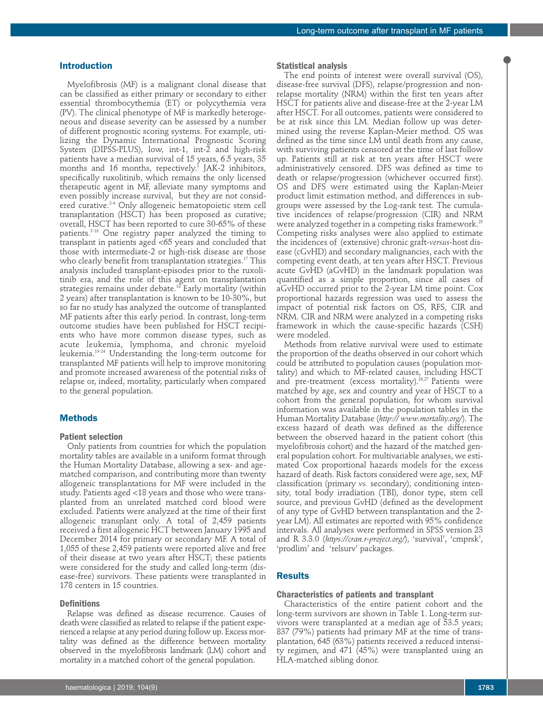## **Introduction**

Myelofibrosis (MF) is a malignant clonal disease that can be classified as either primary or secondary to either essential thrombocythemia (ET) or polycythemia vera (PV). The clinical phenotype of MF is markedly heterogeneous and disease severity can be assessed by a number of different prognostic scoring systems. For example, utilizing the Dynamic International Prognostic Scoring System (DIPSS-PLUS), low, int-1, int-2 and high-risk patients have a median survival of 15 years, 6.5 years, 35 months and 16 months, repectively.<sup>1</sup> JAK-2 inhibitors, specifically ruxolitinib, which remains the only licensed therapeutic agent in MF, alleviate many symptoms and even possibly increase survival, but they are not considered curative.2-4 Only allogeneic hematopoietic stem cell transplantation (HSCT) has been proposed as curative; overall, HSCT has been reported to cure 30-65% of these patients.5-16 One registry paper analyzed the timing to transplant in patients aged <65 years and concluded that those with intermediate-2 or high-risk disease are those who clearly benefit from transplantation strategies.<sup>17</sup> This analysis included transplant-episodes prior to the ruxolitinib era, and the role of this agent on transplantation strategies remains under debate.<sup>18</sup> Early mortality (within 2 years) after transplantation is known to be 10-30%, but so far no study has analyzed the outcome of transplanted MF patients after this early period. In contrast, long-term outcome studies have been published for HSCT recipients who have more common disease types, such as acute leukemia, lymphoma, and chronic myeloid leukemia.19-24 Understanding the long-term outcome for transplanted MF patients will help to improve monitoring and promote increased awareness of the potential risks of relapse or, indeed, mortality, particularly when compared to the general population.

## **Methods**

## **Patient selection**

Only patients from countries for which the population mortality tables are available in a uniform format through the Human Mortality Database, allowing a sex- and agematched comparison, and contributing more than twenty allogeneic transplantations for MF were included in the study. Patients aged <18 years and those who were transplanted from an unrelated matched cord blood were excluded. Patients were analyzed at the time of their first allogeneic transplant only. A total of 2,459 patients received a first allogeneic HCT between January 1995 and December 2014 for primary or secondary MF. A total of 1,055 of these 2,459 patients were reported alive and free of their disease at two years after HSCT; these patients were considered for the study and called long-term (disease-free) survivors. These patients were transplanted in 178 centers in 15 countries.

#### **Definitions**

Relapse was defined as disease recurrence. Causes of death were classified as related to relapse if the patient experienced a relapse at any period during follow up. Excess mortality was defined as the difference between mortality observed in the myelofibrosis landmark (LM) cohort and mortality in a matched cohort of the general population.

#### **Statistical analysis**

The end points of interest were overall survival (OS), disease-free survival (DFS), relapse/progression and nonrelapse mortality (NRM) within the first ten years after HSCT for patients alive and disease-free at the 2-year LM after HSCT. For all outcomes, patients were considered to be at risk since this LM. Median follow up was determined using the reverse Kaplan-Meier method. OS was defined as the time since LM until death from any cause, with surviving patients censored at the time of last follow up. Patients still at risk at ten years after HSCT were administratively censored. DFS was defined as time to death or relapse/progression (whichever occurred first). OS and DFS were estimated using the Kaplan-Meier product limit estimation method, and differences in subgroups were assessed by the Log-rank test. The cumulative incidences of relapse/progression (CIR) and NRM were analyzed together in a competing risks framework.25 Competing risks analyses were also applied to estimate the incidences of (extensive) chronic graft-*versus*-host disease (cGvHD) and secondary malignancies, each with the competing event death, at ten years after HSCT. Previous acute GvHD (aGvHD) in the landmark population was quantified as a simple proportion, since all cases of aGvHD occurred prior to the 2-year LM time point. Cox proportional hazards regression was used to assess the impact of potential risk factors on OS, RFS, CIR and NRM. CIR and NRM were analyzed in a competing risks framework in which the cause-specific hazards (CSH) were modeled.

Methods from relative survival were used to estimate the proportion of the deaths observed in our cohort which could be attributed to population causes (population mortality) and which to MF-related causes, including HSCT and pre-treatment (excess mortality).<sup>26,27</sup> Patients were matched by age, sex and country and year of HSCT to a cohort from the general population, for whom survival information was available in the population tables in the Human Mortality Database (*http:// www.mortality.org/*). The excess hazard of death was defined as the difference between the observed hazard in the patient cohort (this myelofibrosis cohort) and the hazard of the matched general population cohort. For multivariable analyses, we estimated Cox proportional hazards models for the excess hazard of death. Risk factors considered were age, sex, MF classification (primary *vs.* secondary), conditioning intensity, total body irradiation (TBI), donor type, stem cell source, and previous GvHD (defined as the development of any type of GvHD between transplantation and the 2 year LM). All estimates are reported with 95% confidence intervals. All analyses were performed in SPSS version 23 and R 3.3.0 (*https://cran.r-project.org/*), 'survival', 'cmprsk', 'prodlim' and 'relsurv' packages.

## **Results**

#### **Characteristics of patients and transplant**

Characteristics of the entire patient cohort and the long-term survivors are shown in Table 1. Long-term survivors were transplanted at a median age of 53.5 years; 837 (79%) patients had primary MF at the time of transplantation, 645 (63%) patients received a reduced intensity regimen, and 471 (45%) were transplanted using an HLA-matched sibling donor.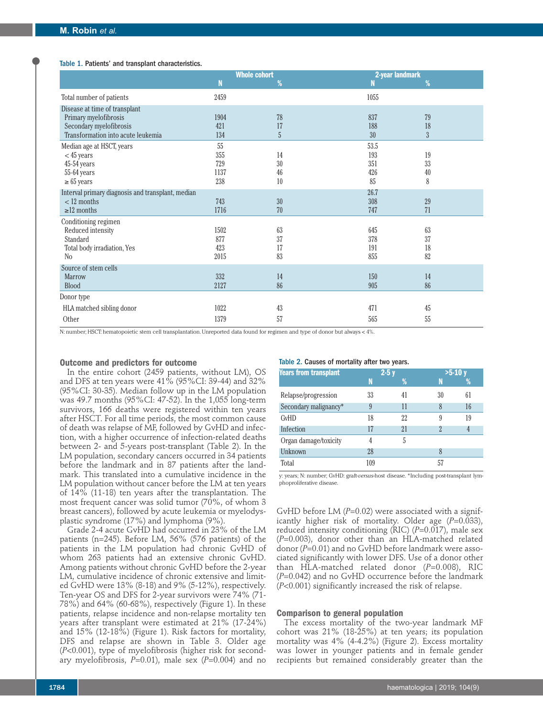#### Table 1. Patients' and transplant characteristics.

|                                                   | <b>Whole cohort</b> |                | 2-year landmark |                |  |  |
|---------------------------------------------------|---------------------|----------------|-----------------|----------------|--|--|
|                                                   | N                   | %              | N               | %              |  |  |
| Total number of patients                          | 2459                |                | 1055            |                |  |  |
| Disease at time of transplant                     |                     |                |                 |                |  |  |
| Primary myelofibrosis                             | 1904                | 78             | 837             | 79             |  |  |
| Secondary myelofibrosis                           | 421                 | 17             | 188             | 18             |  |  |
| Transformation into acute leukemia                | 134                 | $\overline{5}$ | 30              | $\overline{3}$ |  |  |
| Median age at HSCT, years                         | 55                  |                | 53.5            |                |  |  |
| $<$ 45 years                                      | 355                 | 14             | 193             | 19             |  |  |
| 45-54 years                                       | 729                 | 30             | 351             | 33             |  |  |
| 55-64 years                                       | 1137                | 46             | 426             | 40             |  |  |
| $\geq 65$ years                                   | 238                 | 10             | 85              | 8              |  |  |
| Interval primary diagnosis and transplant, median |                     |                | 26.7            |                |  |  |
| $< 12$ months                                     | 743                 | 30             | 308             | 29             |  |  |
| $\geq$ 12 months                                  | 1716                | 70             | 747             | 71             |  |  |
| Conditioning regimen                              |                     |                |                 |                |  |  |
| Reduced intensity                                 | 1502                | 63             | 645             | 63             |  |  |
| Standard                                          | 877                 | 37             | 378             | 37             |  |  |
| Total body irradiation, Yes                       | 423                 | 17             | 191             | 18             |  |  |
| N <sub>o</sub>                                    | 2015                | 83             | 855             | 82             |  |  |
| Source of stem cells                              |                     |                |                 |                |  |  |
| <b>Marrow</b>                                     | 332                 | 14             | 150             | 14             |  |  |
| <b>Blood</b>                                      | 2127                | 86             | 905             | 86             |  |  |
| Donor type                                        |                     |                |                 |                |  |  |
| HLA matched sibling donor                         | 1022                | 43             | 471             | 45             |  |  |
| Other                                             | 1379                | 57             | 565             | 55             |  |  |

N: number; HSCT: hematopoietic stem cell transplantation. Unreported data found for regimen and type of donor but always < 4%.

#### **Outcome and predictors for outcome**

In the entire cohort (2459 patients, without LM), OS and DFS at ten years were 41% (95%CI: 39-44) and 32% (95%CI: 30-35). Median follow up in the LM population was 49.7 months (95%CI: 47-52). In the 1,055 long-term survivors, 166 deaths were registered within ten years after HSCT. For all time periods, the most common cause of death was relapse of MF, followed by GvHD and infection, with a higher occurrence of infection-related deaths between 2- and 5-years post-transplant (Table 2). In the LM population, secondary cancers occurred in 34 patients before the landmark and in 87 patients after the landmark. This translated into a cumulative incidence in the LM population without cancer before the LM at ten years of 14% (11-18) ten years after the transplantation. The most frequent cancer was solid tumor (70%, of whom 3 breast cancers), followed by acute leukemia or myelodysplastic syndrome (17%) and lymphoma (9%).

Grade 2-4 acute GvHD had occurred in 23% of the LM patients (n=245). Before LM, 56% (576 patients) of the patients in the LM population had chronic GvHD of whom 263 patients had an extensive chronic GvHD. Among patients without chronic GvHD before the 2-year LM, cumulative incidence of chronic extensive and limited GvHD were 13% (8-18) and 9% (5-12%), respectively. Ten-year OS and DFS for 2-year survivors were 74% (71- 78%) and 64% (60-68%), respectively (Figure 1). In these patients, relapse incidence and non-relapse mortality ten years after transplant were estimated at 21% (17-24%) and 15% (12-18%) (Figure 1). Risk factors for mortality, DFS and relapse are shown in Table 3. Older age (*P*<0.001), type of myelofibrosis (higher risk for secondary myelofibrosis, *P*=0.01), male sex (*P*=0.004) and no

#### Table 2. Causes of mortality after two years.

| Years from transplant |     | $2-5y$ | $>5-10y$                 |    |
|-----------------------|-----|--------|--------------------------|----|
|                       |     | %      | N                        | %  |
| Relapse/progression   | 33  | 41     | 30                       | 61 |
| Secondary malignancy* | 9   | 11     | 8                        | 16 |
| GvHD                  | 18  | 22     | 9                        | 19 |
| Infection             | 17  | 21     | $\overline{\mathcal{L}}$ | 4  |
| Organ damage/toxicity | 4   | 5      |                          |    |
| Unknown               | 28  |        | 8                        |    |
| Total                 | 109 |        | 57                       |    |

y: years; N: number; GvHD: graft-*versus*-host disease. \*Including post-transplant lymphoproliferative disease.

GvHD before LM (P=0.02) were associated with a significantly higher risk of mortality. Older age (*P*=0.033), reduced intensity conditioning (RIC) (*P*=0.017), male sex (*P*=0.003), donor other than an HLA-matched related donor (*P*=0.01) and no GvHD before landmark were associated significantly with lower DFS. Use of a donor other than HLA-matched related donor (*P*=0.008), RIC (*P*=0.042) and no GvHD occurrence before the landmark (*P*<0.001) significantly increased the risk of relapse.

#### **Comparison to general population**

The excess mortality of the two-year landmark MF cohort was 21% (18-25%) at ten years; its population mortality was 4% (4-4.2%) (Figure 2). Excess mortality was lower in younger patients and in female gender recipients but remained considerably greater than the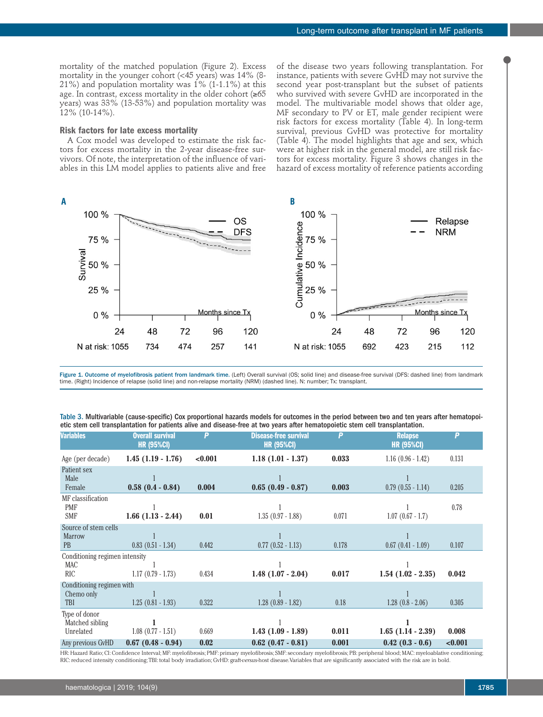mortality of the matched population (Figure 2). Excess mortality in the younger cohort (<45 years) was 14% (8- 21%) and population mortality was 1% (1-1.1%) at this age. In contrast, excess mortality in the older cohort (≥65 years) was 33% (13-53%) and population mortality was 12% (10-14%).

#### **Risk factors for late excess mortality**

A Cox model was developed to estimate the risk factors for excess mortality in the 2-year disease-free survivors. Of note, the interpretation of the influence of variables in this LM model applies to patients alive and free

of the disease two years following transplantation. For instance, patients with severe GvHD may not survive the second year post-transplant but the subset of patients who survived with severe GvHD are incorporated in the model. The multivariable model shows that older age, MF secondary to PV or ET, male gender recipient were risk factors for excess mortality (Table 4). In long-term survival, previous GvHD was protective for mortality (Table 4). The model highlights that age and sex, which were at higher risk in the general model, are still risk factors for excess mortality. Figure 3 shows changes in the hazard of excess mortality of reference patients according



Figure 1. Outcome of myelofibrosis patient from landmark time. (Left) Overall survival (OS; solid line) and disease-free survival (DFS: dashed line) from landmark time. (Right) Incidence of relapse (solid line) and non-relapse mortality (NRM) (dashed line). N: number; Tx: transplant.

| Table 3. Multivariable (cause-specific) Cox proportional hazards models for outcomes in the period between two and ten years after hematopoi- |  |
|-----------------------------------------------------------------------------------------------------------------------------------------------|--|
| etic stem cell transplantation for patients alive and disease-free at two years after hematopoietic stem cell transplantation.                |  |

| <b>Variables</b>                                   | <b>Overall survival</b><br><b>HR (95%CI)</b> | P       | <b>Disease-free survival</b><br><b>HR (95%CI)</b> | P     | <b>Relapse</b><br><b>HR (95%CI)</b> | P       |
|----------------------------------------------------|----------------------------------------------|---------|---------------------------------------------------|-------|-------------------------------------|---------|
| Age (per decade)                                   | $1.45(1.19 - 1.76)$                          | < 0.001 | $1.18(1.01 - 1.37)$                               | 0.033 | $1.16(0.96 - 1.42)$                 | 0.131   |
| Patient sex<br>Male                                |                                              |         |                                                   |       |                                     |         |
| Female                                             | $0.58(0.4 - 0.84)$                           | 0.004   | $0.65(0.49 - 0.87)$                               | 0.003 | $0.79$ $(0.55 - 1.14)$              | 0.205   |
| MF classification<br><b>PMF</b><br><b>SMF</b>      | $1.66$ $(1.13 - 2.44)$                       | 0.01    | $1.35(0.97 - 1.88)$                               | 0.071 | $1.07(0.67 - 1.7)$                  | 0.78    |
| Source of stem cells<br><b>Marrow</b><br><b>PB</b> | $0.83(0.51 - 1.34)$                          | 0.442   | $0.77$ $(0.52 - 1.13)$                            | 0.178 | $0.67$ $(0.41 - 1.09)$              | 0.107   |
| Conditioning regimen intensity                     |                                              |         |                                                   |       |                                     |         |
| <b>MAC</b><br><b>RIC</b>                           | $1.17(0.79 - 1.73)$                          | 0.434   | $1.48(1.07 - 2.04)$                               | 0.017 | $1.54$ $(1.02 - 2.35)$              | 0.042   |
| Conditioning regimen with                          |                                              |         |                                                   |       |                                     |         |
| Chemo only<br>TBI                                  | $1.25(0.81 - 1.93)$                          | 0.322   | $1.28$ $(0.89 - 1.82)$                            | 0.18  | $1.28$ $(0.8 - 2.06)$               | 0.305   |
| Type of donor<br>Matched sibling<br>Unrelated      | $1.08$ $(0.77 - 1.51)$                       | 0.669   | $1.43(1.09 - 1.89)$                               | 0.011 | $1.65$ $(1.14 - 2.39)$              | 0.008   |
| Any previous GvHD                                  | $0.67(0.48 - 0.94)$                          | 0.02    | $0.62(0.47 - 0.81)$                               | 0.001 | $0.42(0.3 - 0.6)$                   | < 0.001 |

HR: Hazard Ratio; CI: Confidence Interval; MF: myelofibrosis; PMF: primary myelofibrosis; SMF: secondary myelofibrosis; PB: peripheral blood; MAC: myeloablative conditioning; RIC: reduced intensity conditioning; TBI: total body irradiation; GvHD: graft-*versus*-host disease. Variables that are significantly associated with the risk are in bold.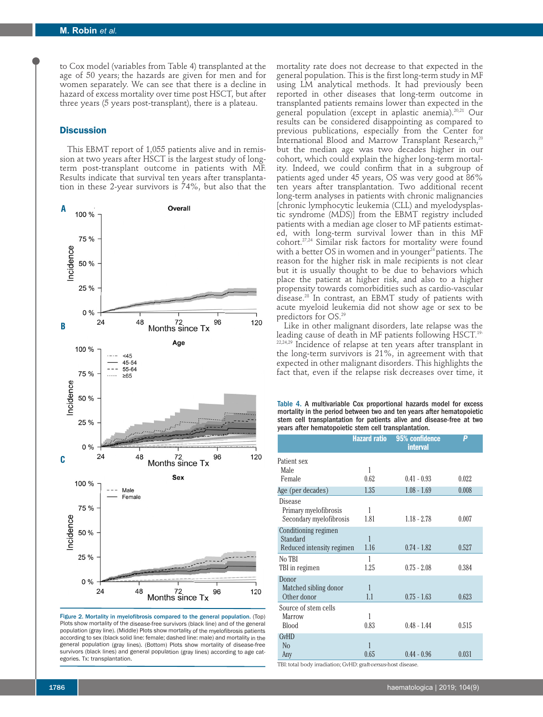to Cox model (variables from Table 4) transplanted at the age of 50 years; the hazards are given for men and for women separately. We can see that there is a decline in hazard of excess mortality over time post HSCT, but after three years (5 years post-transplant), there is a plateau.

## **Discussion**

This EBMT report of 1,055 patients alive and in remission at two years after HSCT is the largest study of longterm post-transplant outcome in patients with MF. Results indicate that survival ten years after transplantation in these 2-year survivors is 74%, but also that the



Figure 2. Mortality in myelofibrosis compared to the general population. (Top) Plots show mortality of the disease-free survivors (black line) and of the general population (gray line). (Middle) Plots show mortality of the myelofibrosis patients according to sex (black solid line: female; dashed line: male) and mortality in the general population (gray lines). (Bottom) Plots show mortality of disease-free survivors (black lines) and general population (gray lines) according to age categories. Tx: transplantation.

mortality rate does not decrease to that expected in the general population. This is the first long-term study in MF using LM analytical methods. It had previously been reported in other diseases that long-term outcome in transplanted patients remains lower than expected in the general population (except in aplastic anemia).<sup>20,21</sup> Our results can be considered disappointing as compared to previous publications, especially from the Center for International Blood and Marrow Transplant Research,<sup>20</sup> but the median age was two decades higher in our cohort, which could explain the higher long-term mortality. Indeed, we could confirm that in a subgroup of patients aged under 45 years, OS was very good at 86% ten years after transplantation. Two additional recent long-term analyses in patients with chronic malignancies [chronic lymphocytic leukemia (CLL) and myelodysplastic syndrome (MDS)] from the EBMT registry included patients with a median age closer to MF patients estimated, with long-term survival lower than in this MF cohort.27,24 Similar risk factors for mortality were found with a better OS in women and in younger $^{24}$  patients. The reason for the higher risk in male recipients is not clear but it is usually thought to be due to behaviors which place the patient at higher risk, and also to a higher propensity towards comorbidities such as cardio-vascular disease.28 In contrast, an EBMT study of patients with acute myeloid leukemia did not show age or sex to be predictors for OS.29

Like in other malignant disorders, late relapse was the leading cause of death in MF patients following HSCT.<sup>19-</sup>  $22,24,29$  Incidence of relapse at ten years after transplant in the long-term survivors is 21%, in agreement with that expected in other malignant disorders. This highlights the fact that, even if the relapse risk decreases over time, it

Table 4. A multivariable Cox proportional hazards model for excess mortality in the period between two and ten years after hematopoietic stem cell transplantation for patients alive and disease-free at two years after hematopoietic stem cell transplantation.

|                           | <b>Hazard ratio</b> | 95% confidence<br><b>interval</b> | P     |
|---------------------------|---------------------|-----------------------------------|-------|
| Patient sex               |                     |                                   |       |
| Male                      | 1                   |                                   |       |
| Female                    | 0.62                | $0.41 - 0.93$                     | 0.022 |
| Age (per decades)         | 1.35                | $1.08 - 1.69$                     | 0.008 |
| Disease                   |                     |                                   |       |
| Primary myelofibrosis     | 1                   |                                   |       |
| Secondary myelofibrosis   | 1.81                | $1.18 - 2.78$                     | 0.007 |
| Conditioning regimen      |                     |                                   |       |
| Standard                  | $\mathbf{1}$        |                                   |       |
| Reduced intensity regimen | 1.16                | $0.74 - 1.82$                     | 0.527 |
| No TBI                    | 1                   |                                   |       |
| TBI in regimen            | 1.25                | $0.75 - 2.08$                     | 0.384 |
| Donor                     |                     |                                   |       |
| Matched sibling donor     | $\mathbf{1}$        |                                   |       |
| Other donor               | 1.1                 | $0.75 - 1.63$                     | 0.623 |
| Source of stem cells      |                     |                                   |       |
| <b>Marrow</b>             | 1                   |                                   |       |
| <b>Blood</b>              | 0.83                | $0.48 - 1.44$                     | 0.515 |
| <b>GvHD</b>               |                     |                                   |       |
| N <sub>o</sub>            | $\mathbf{1}$        |                                   |       |
| Any                       | 0.65                | $0.44 - 0.96$                     | 0.031 |

TBI: total body irradiation; GvHD: graft-*versus*-host disease.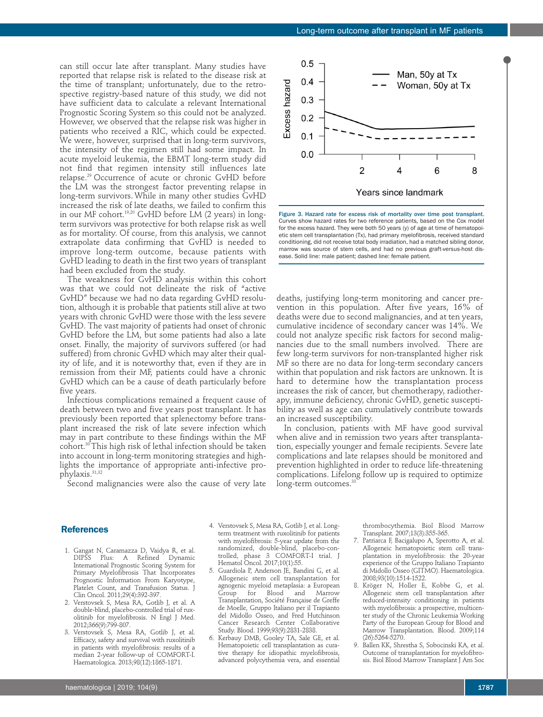can still occur late after transplant. Many studies have reported that relapse risk is related to the disease risk at the time of transplant; unfortunately, due to the retrospective registry-based nature of this study, we did not have sufficient data to calculate a relevant International Prognostic Scoring System so this could not be analyzed. However, we observed that the relapse risk was higher in patients who received a RIC, which could be expected. We were, however, surprised that in long-term survivors, the intensity of the regimen still had some impact. In acute myeloid leukemia, the EBMT long-term study did not find that regimen intensity still influences late relapse.29 Occurrence of acute or chronic GvHD before the LM was the strongest factor preventing relapse in long-term survivors. While in many other studies GvHD increased the risk of late deaths, we failed to confirm this in our MF cohort.19,20 GvHD before LM (2 years) in longterm survivors was protective for both relapse risk as well as for mortality. Of course, from this analysis, we cannot extrapolate data confirming that GvHD is needed to improve long-term outcome, because patients with GvHD leading to death in the first two years of transplant had been excluded from the study.

The weakness for GvHD analysis within this cohort was that we could not delineate the risk of "active GvHD" because we had no data regarding GvHD resolution, although it is probable that patients still alive at two years with chronic GvHD were those with the less severe GvHD. The vast majority of patients had onset of chronic GvHD before the LM, but some patients had also a late onset. Finally, the majority of survivors suffered (or had suffered) from chronic GvHD which may alter their quality of life, and it is noteworthy that, even if they are in remission from their MF, patients could have a chronic GvHD which can be a cause of death particularly before five years.

Infectious complications remained a frequent cause of death between two and five years post transplant. It has previously been reported that splenectomy before transplant increased the risk of late severe infection which may in part contribute to these findings within the MF cohort.30 This high risk of lethal infection should be taken into account in long-term monitoring strategies and highlights the importance of appropriate anti-infective prophylaxis.<sup>31,32</sup>

Second malignancies were also the cause of very late

#### **References**

- 1. Gangat N, Caramazza D, Vaidya R, et al. DIPSS Plus: A Refined Dynamic International Prognostic Scoring System for Primary Myelofibrosis That Incorporates Prognostic Information From Karyotype, Platelet Count, and Transfusion Status. J Clin Oncol. 2011;29(4):392-397.
- 2. Verstovsek S, Mesa RA, Gotlib J, et al. A double-blind, placebo-controlled trial of ruxolitinib for myelofibrosis. N Engl J Med. 2012;366(9):799-807.
- 3. Verstovsek S, Mesa RA, Gotlib J, et al. Efficacy, safety and survival with ruxolitinib in patients with myelofibrosis: results of a median 2-year follow-up of COMFORT-I. Haematologica. 2013;98(12):1865-1871.
- 4. Verstovsek S, Mesa RA, Gotlib J, et al. Longterm treatment with ruxolitinib for patients with myelofibrosis: 5-year update from the randomized, double-blind, placebo-controlled, phase 3 COMFORT-I trial. J Hematol Oncol. 2017;10(1):55.
- 5. Guardiola P, Anderson JE, Bandini G, et al. Allogeneic stem cell transplantation for agnogenic myeloid metaplasia: a European Group for Blood and Marrow Transplantation, Société Française de Greffe de Moelle, Gruppo Italiano per il Trapianto del Midollo Osseo, and Fred Hutchinson Cancer Research Center Collaborative Study. Blood. 1999;93(9):2831-2838.
- 6. Kerbauy DMB, Gooley TA, Sale GE, et al. Hematopoietic cell transplantation as curative therapy for idiopathic myelofibrosis, advanced polycythemia vera, and essential



Figure 3. Hazard rate for excess risk of mortality over time post transplant. Curves show hazard rates for two reference patients, based on the Cox model for the excess hazard. They were both 50 years (y) of age at time of hematopoietic stem cell transplantation (Tx), had primary myelofibrosis, received standard conditioning, did not receive total body irradiation, had a matched sibling donor, marrow was source of stem cells, and had no previous graft-*versus*-host disease. Solid line: male patient; dashed line: female patient.

deaths, justifying long-term monitoring and cancer prevention in this population. After five years, 16% of deaths were due to second malignancies, and at ten years, cumulative incidence of secondary cancer was 14%. We could not analyze specific risk factors for second malignancies due to the small numbers involved. There are few long-term survivors for non-transplanted higher risk MF so there are no data for long-term secondary cancers within that population and risk factors are unknown. It is hard to determine how the transplantation process increases the risk of cancer, but chemotherapy, radiotherapy, immune deficiency, chronic GvHD, genetic susceptibility as well as age can cumulatively contribute towards an increased susceptibility.

In conclusion, patients with MF have good survival when alive and in remission two years after transplantation, especially younger and female recipients. Severe late complications and late relapses should be monitored and prevention highlighted in order to reduce life-threatening complications. Lifelong follow up is required to optimize long-term outcomes.<sup>33</sup>

> thrombocythemia. Biol Blood Marrow Transplant. 2007;13(3):355-365.

- 7. Patriarca F, Bacigalupo A, Sperotto A, et al. Allogeneic hematopoietic stem cell transplantation in myelofibrosis: the 20-year experience of the Gruppo Italiano Trapianto di Midollo Osseo (GITMO). Haematologica. 2008;93(10):1514-1522.
- 8. Kröger N, Holler E, Kobbe G, et al. Allogeneic stem cell transplantation after reduced-intensity conditioning in patients with myelofibrosis: a prospective, multicenter study of the Chronic Leukemia Working Party of the European Group for Blood and Marrow Transplantation. Blood. 2009;114 (26):5264-5270.
- 9. Ballen KK, Shrestha S, Sobocinski KA, et al. Outcome of transplantation for myelofibrosis. Biol Blood Marrow Transplant J Am Soc